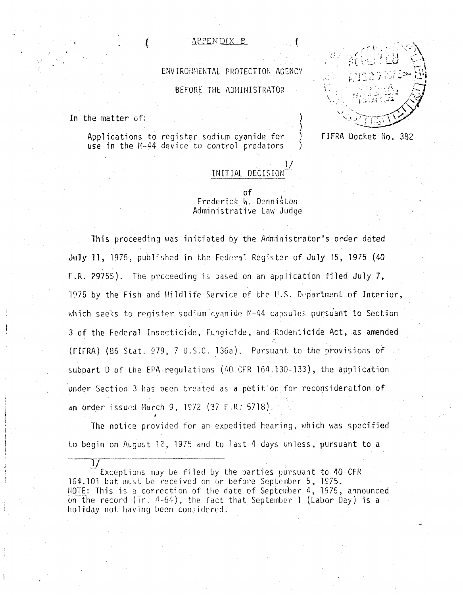## <u>APPENDIX R</u>

ENVIRONMENTAL PROTECTION AGENCY

BEFORE THE ADMINISTRATOR

In the matter of:

Applications to register sodium cyanide for use in the  $M-44$  device to control predators

: is a set of  $\mathbb{C} \times \mathbb{C}$  $\mathbb{Z} \subset \mathbb{Z} \subset \mathbb{Z}$  , where  $\mathbb{Z} \subset \mathbb{Z}$  $\mathfrak{gl}$  is a set of  $\mathfrak{gl}_{\mathbb{C}}$  .  $\mathfrak{gl}_{\mathbb{C}}$ 

FIFRA Docket No. 382

# INITIAL DECISIONof

)

 $1/$ 

Frederick W. Denniston Administrative Law Judge

This proceeding was initiated by the Administrator's order dated July 11, 1975, published in the Federal Register of July 15, 1975 (40 F.R. 29755). The proceeding is based on an application filed July 7, 1975 by the Fish and Wildlife Service of the U.S. Department of Interior, which seeks to register sodium cyanide M-44 capsules pursuant to Section 3 of the Federal Insecticide, Fungicide, and Rodenticide Act, as amended : (FIFRA) (86 Stat. 979, 7 U.S.C. 136a). Pursuant to the provisions of subpart D of the EPA regulations (40 CFR 164.130-133), the application under Section 3 has been treated as a petition for reconsideration of an order issued March 9, 1972 (37 F.R: 5718). ·

The notice provided for an expedited hearing, which was specified to begin on August 12, 1975 and to last 4 days unless, pursuant to a

 $\frac{1}{2}$ Exceptions may be filed by the parties pursuant to  $40$  CFR 164.101 but must be received on or before September 5, 1975. NOTE: This is a correction of the date of September 4, 1975, announced on the record (Tr. 4-64), the fact that September 1 (Labor Day) is a holiday not having been considered.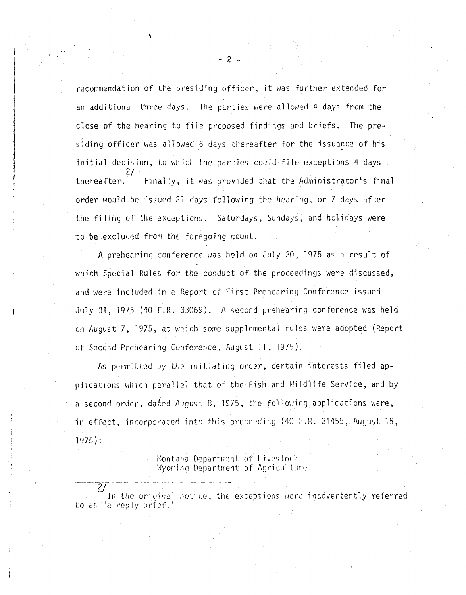recommendation of the presiding officer, it was further extended for an additional three days. The parties were allowed 4 days from the close of the hearing to file proposed findings and briefs. The presiding officer was allowed 6 days thereafter for the issuance of his initial decision, to which the parties could file exceptions 4 days *?J*  thereafter. Finally, it was provided that the Administrator's final order would be issued 21 days following the hearing, or 7 days after the filing of the exceptions. Saturdays, Sundays, and holidays were to be.excluded from the foregoing count.

A prehearing conference was held on July 30, 1975 as a result of which Special Rules for the conduct of the proceedings were discussed, and were included in a Report of First Prehearing Conference issued July 31, 1975 (40 F.R. 33059). A second prehearing conference was held on August 7, 1975, at which some supplemental rules were adopted (Report of Second Prehearing Conference, August ll, 1975).

As permitted *by* the initiating order, certain interests filed applications which parallel that of the Fish and Wildlife Service, and by a second order, dafed August 8, 1975, the following applications were, in effect, incorporated into this proceeding (40 r.R. 34455, August 15, 1975):

> Montana Department of Livestock Wyoming Department of Agriculture

····----27--------·-···~-----

In the original notice, the exceptions were inadvertently referred to as "a reply brief."

- 2 ..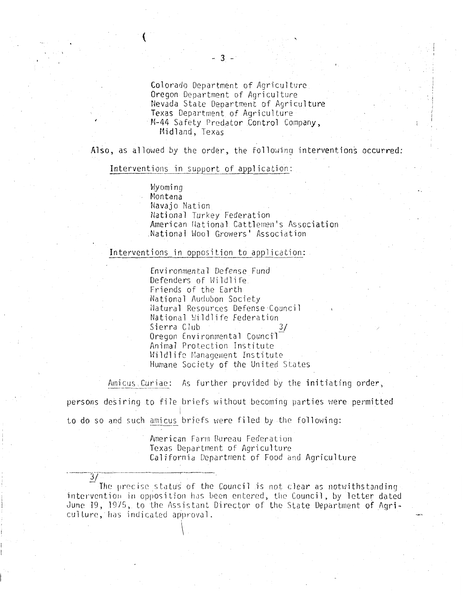Colorado Department of Agriculture Oregon Department of Agriculture Nevada State Department of Agriculture Texas Department of Agriculture M-44 Safety Predator Control Company, Midland, Texas

Also, as allowed by the order, the following interventions occurred:

#### Interventions in support of application:

Wyoming Montana Navajo Nation National Turkey Federation American Hational Cattlemen's Association National Wool Growers' Association

## Interventions in opposition to application:

Environmental Defense Fund Defenders of Wildlife Friends of the Earth National Audubon Society Natural Resources Defense Council National Wildlife Federation Sierra Club Oregon Environmental Council Animal Protection Institute Wildlife Management Institute Humane Society of the United States

Amicus, Curiae: As further provided by the initiating order,

persons desiring to file briefs without becoming parties were permitted to do so and such amicus briefs were filed by the following:

> American Farm Bureau Federation Texas Department of Agriculture California Department of Food and Agriculture

The precise status of the Council is not clear as notwithstanding intervention in opposition has been entered, the Council, by letter dated June 19, 1975, to the Assistant Director of the State Department of Agriculture, has indicated approval.

 $\frac{3}{2}$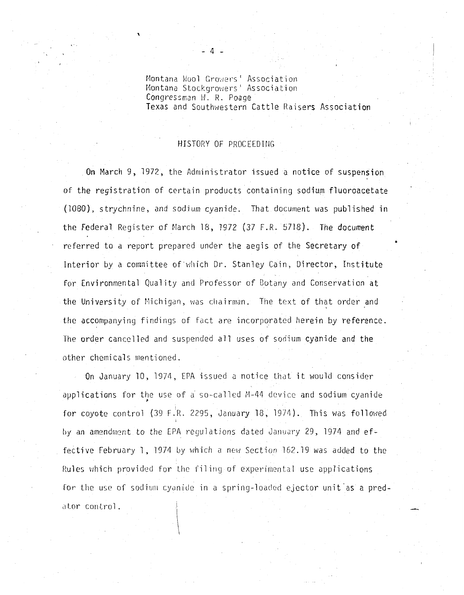Montana Wool Growers' Association Montana Stockgrowers' Association Congressman H. R. Poage Texas and Southwestern Cattle Raisers Association

## HISTORY OF PROCEEDING

On March 9, 1972, the Administrator issued a notice of suspension of the registration of certain products containing sodium fluoroacetate (1080), strychnine, and sodium cyanide. That document was published in the Federal Register of March 18, 1972 (37 F.R. 5718). The document referred to a report prepared under the aegis of the Secretary of Interior by a committee of which Dr. Stanley Cain, Director, Institute for Environmental Quality and Professor of Botany and Conservation at the University of Michigan, was chairman. The text of that order and  $\,$ the accompanying findings of fact are incorporated herein by reference. The order cancelled and suspended all uses of sodium cyanide and the other chemicals mentioned.

On January 10, 1974, EPA issued a notice that it would consider applications for the use of a so-called M-44 device and sodium cyanide ~ for coyote control (39 F.R. 2295, January 18, 1974). This was followed by an amendment to the EPA regulations dated January 29, 1974 and effective February 1, 1974 by which a new Section 162.19 was added to the Rules which provided for the filing of experimental use applications for the use of sodium cyanide in a spring-loaded ejector unit as a predator control.

- *4* -

'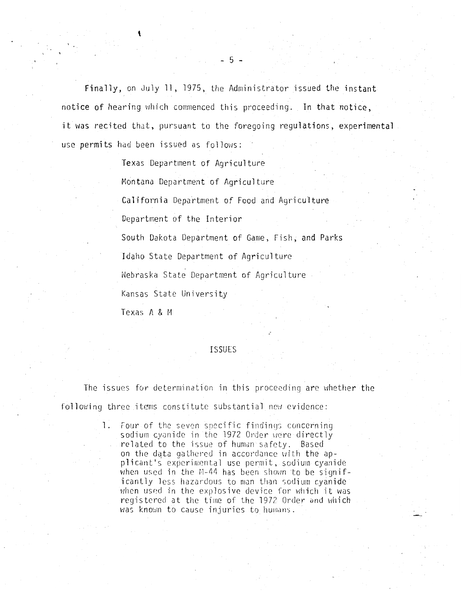Finally, on July 11, 1975, the Administrator issued the instant notice of hearing which commenced this proceeding. In that notice, it was recited that, pursuant to the foregoing regulations, experimental use permits had been issued as follows:

Texas Department of Agriculture

Montana Department of Agriculture

California Department of Food and Agriculture

Department of the Interior

South Dakota Department of Game, Fish, and Parks

Idaho State Department of Agriculture

Nebraska State Department of Agriculture

Kansas State University

Texas A & M

## **ISSUES**

The issues for determination in this proceeding are whether the following three items constitute substantial new evidence:

> 1. Four of the seven specific findings concerning sodium cyanide in the 1972 Order were directly related to the issue of human safety. Based on the data gathered in accordance with the applicant's experimental use permit, sodium cyanide when used in the M-44 has been shown to be significantly less hazardous to man than sodium cyanide when used in the explosive device for which it was registered at the time of the 1972 Order and which was known to cause injuries to humans.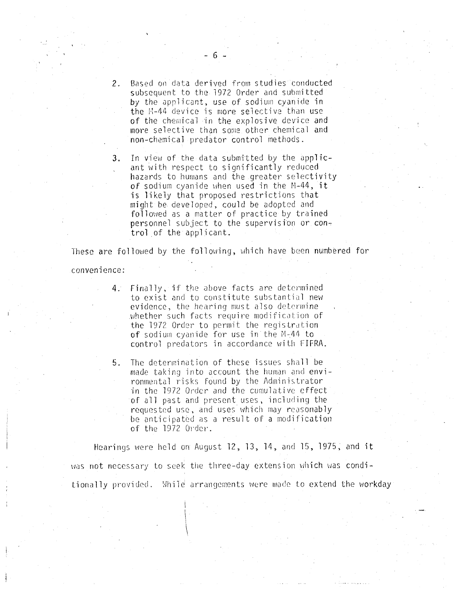- 2. Based on data derived from studies conducted subsequent to the 1972 Order and submitted by the aprlicant, use of sodium cyanide in the  $E-44$  device is more selective than use of the chemical in the explosive device and more selective than some other chemical and non-chemical predator control methods.
- 3. In view of the data submitted by the applicant with respect to significantly reduced hazards to humans and the greater selectivity of sodium cyanide when used in the  $N-44$ , it is likely that proposed restrictions that might be developed, could be adopted and followed as a matter of practice by trained personnel subject to the supervision or control of the applicant.

These are followed by the following, which have been numbered for

### convenience:

- 4. Finally, if the above facts are determined to exist and to constitute substantial new evidence, the hearing must also determine whether such facts require modification of the 1972 Order to permit the registration of sodium cyanide for use in the  $M-44$  to control predators in accordance with FIFRA.
- 5. The detenninution of these issues shall be made taking into account the human and environmental risks found by the Administrator in the 1972 Order and the cumulative effect of all past and present uses, including the requested use, and uses which may reasonably be anticipated as a result oF a modification of the 1972 Order.

Hearings were held on August  $12, 13, 14,$  and  $15, 1975$ , and it was not necessary to seek the three-day extension which was conditionally provided. While arrangements were made to extend the workday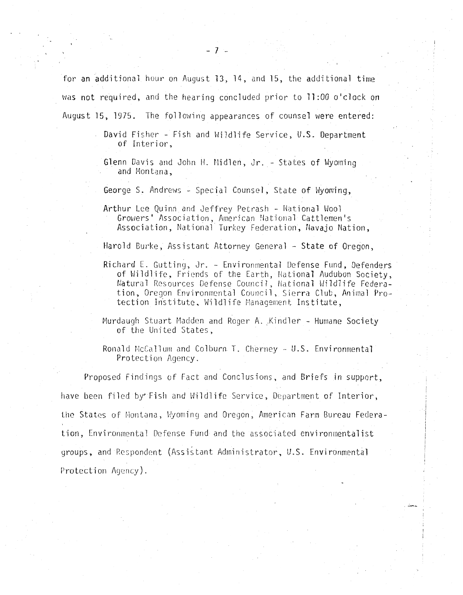for an additional hour on August 13, 14, and 15, the additional time was not required, and the hearing concluded prior to 11:00 o'clock on August 15, 1975. The following appearances of counsel were entered:

> David Fisher - Fish and Wildlife Service, U.S. Department of Interior,

- Glenn Davis and John H. Midlen, Jr. States of Wyoming and Montana,
- George S. Andrews Special Counsel, State of Wyoming,
- Arthur Lee Quinn and Jeffrey Petrash National Wool Growers' Association, American National Cattlemen's Association, National Turkey Federation, Navajo Nation,

Harold Burke, Assistant Attorney General - State of Oregon,

- Richard E. Gutting, Jr. Environmental Defense Fund, Defenders of Wildlife, Friends of the Earth, National Audubon Society, Natural Resources Defense Council, National Wildlife Federation, Oregon Environmental Council, Sierra Club, Animal Protection Institute, Wildlife Management Institute,
- Murdaugh Stuart Madden and Roger A. Kindler Humane Society of the United States,
- Ronald McCallum and Colburn T. Cherney U.S. Environmental Protection Agency.

Proposed Findings of Fact and Conclusions, and Briefs in support, have been filed by• Fish and Wildlife Service, Department of Interior, the States of Nontana, Wyoming and Oregon, American Farm Bureau Federation, Environmental Defense Fund and the associated environmentalist groups, and Respondent (Assistant Administrator, U.S. Environmental Protection Agency).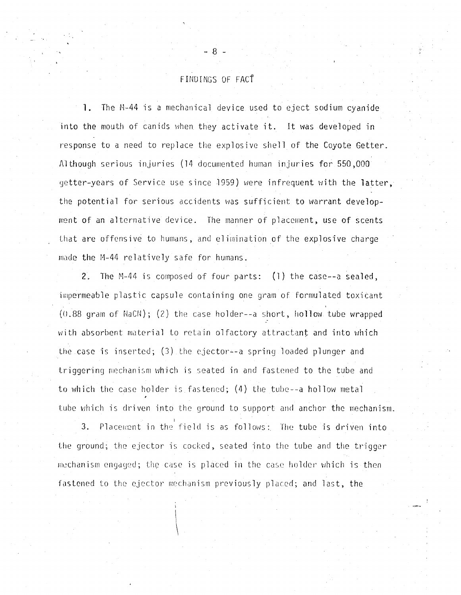# FINDINGS OF FACf

- 8 -

1. The M-44 is a mechanical device used to eject sodium cyanide into the mouth of canids when they activate it. It was developed in response to a need to replace the explosive shell of the Coyote Getter. Although serious injuries (14 documented humon injuries for 550,000 getter-years of Service use since 1959) were infrequent with the latter, the potential for serious accidents was sufficient to warrant development of an alternative device. The manner of placement, use of scents that are offensive to humans, and elimination of the explosive charge made the M-44 relatively safe for humans.

2. The M-44 is composed of four parts: (1) the case--a sealed, impermeable plastic capsule containing one gram of formulated toxicant  $(0.88$  gram of NaCN); (2) the case holder--a short, hollow tube wrapped with absorbent material to retain olfactory attractant and into which the case is inserted;  $(3)$  the ejector--a spring loaded plunger and triggering mechanism which is seated in and fastened to the tube and to which the case holder is fastened;  $(4)$  the tube--a hollow metal tube which is driven into the ground to support and anchor the mechanism.

3. Placement in the field is as follows: The tube is driven into the ground; the ejector is cocked, seated into the tube and the trigger mechanism engaged; the case is placed in the case holder which is then fastened to the ejector mechanism previously placed; and last, the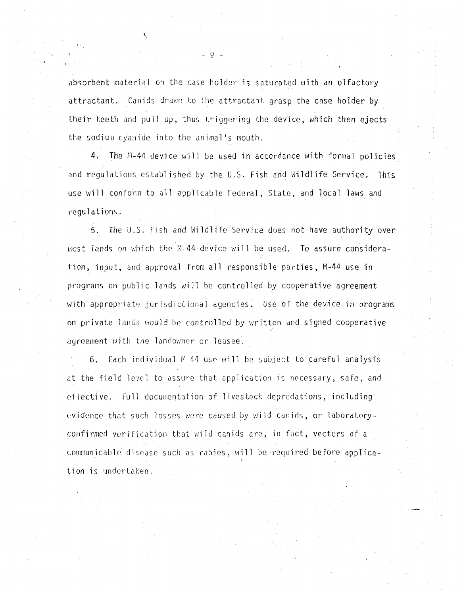absorbent material on the case holder is saturated with an olfactory attractant. Canids drawn to the attractant grasp the case holder by their teeth and pull up, thus triggering the device, which then ejects the sodium cyanide into the animal's mouth.

4. The M-44 device will be used in accordance with formal policies and regulations established by the U.S. Fish and Wildlife Service. This use will conform to all applicable Federal, State, and local laws and regulations.

5. The U.S. Fish and Hildlife Service does not have authority over most lands on which the M-44 device will be used. To assure consideration, input, and approval from all responsible parties, M-44 use in programs on public lands will be controlled by cooperative agreement with appropriate jurisdictional agencies. Use of the device in programs on private lands would be controlled by written and signed cooperative agreement with the landowner or leasee.

6. Each individual M-44 use will be subject to careful analysis at the field level to assure that application is necessary, safe, and effective. Full documentation of livestock depredations, including evidence that such losses were caused by wild canids, or laboratoryconfirmed verification that wild canids are, in fact, vectors of a communicable disease such as rabies, will be required before application is undertaken.

- 9 -

,\_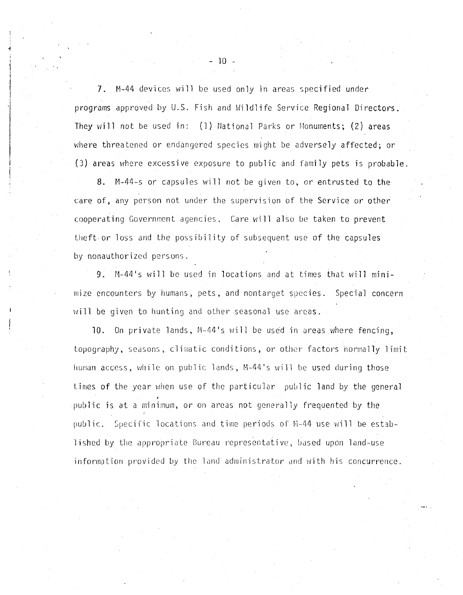7. M-44 devices will be used only in areas specified under programs approved by U.S. Fish and Wildlife Service Regional Directors. They will not be used in: (1) National Parks or Monuments; (2) areas where threatened or endangered species might be adversely affected; or (3) areas where excessive exposure to public and family pets is probable.

8. M-44-s or capsules will not be given to, or entrusted to the care of, any person not under the supervision of the Service or other cooperating Government agencies. Care will also be taken to prevent theft. or loss and the possibility of subsequent use of the capsu1es by nonauthorized persons.

9. A-44's will be used in locations and at times that will minimize encounters by humans, pets, and nontarget species. Special concern will be given to hunting and other seasonal use areas.

10. On private lands,  $M-44$ 's will be used in areas where fencing, topography, seasons, climatic conditions, or other factors normally limit human access, while on public lands, M-44's will be used during those times of the year when use of the particular public land by the general public is at a minimum, or on areas not generally frequented by the public. Specific locations and time periods of H--44 use v1ill be estab lished by the appropriate Bureau representative, based upon land-use information provided by the land administrator and with his concurrence.

 $10 -$ 

' j

 $\vert$ I

·i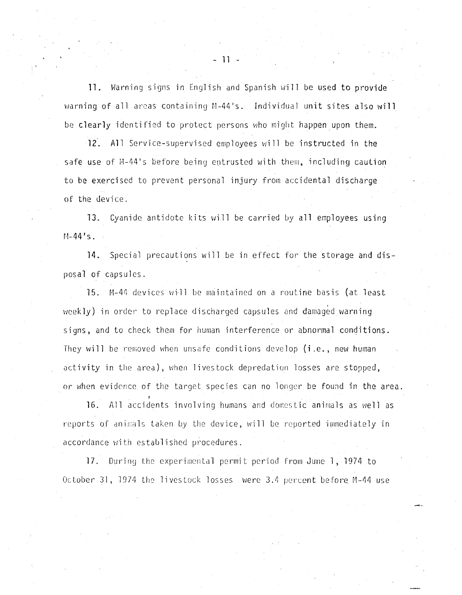**11.** Warning signs in English and Spanish will be used to provide warning of all areas containing M-44's. Individual unit sites also **will**  be clearly identified to protect persons who might happen upon them.

12. All Service-supervised employees will be instructed in the safe use of M-44's before being entrusted with them, including caution to be exercised to prevent personal injury from accidental discharge of the device.

13. Cyanide antidote kits will be carried by all employees using  $M-44's.$ 

**14.** Special precautions will be in effect for the storage and disposal of capsules.

15. M-44 devices will be maintained on a routine basis (at least weekly) in order to replace discharged capsules and damaged warning signs, and to check them for human interference or abnormal conditions. They will be removed when unsafe conditions develop (i.e., new human activity in the area), when livestock depredation losses are stopped, or when evidence of the target species can no longer be found in the area.

16. All accidents involving humans and domestic animals as well as reports of animals taken by the device, will be reported immediately in accordance with established procedures.

17. During the experimental permit period from June 1, 1974 to October 31, 1974 the livestock losses were 3.4 percent before M-44 use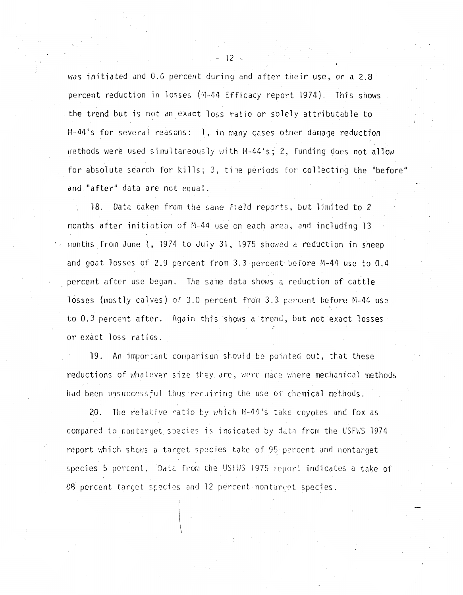was initiated and 0.6 percent during and after their use, or a  $2.8$ percent reduction in losses (M-44 Efficacy report 1974). This shows the trend but is not an exact loss ratio or solely attributable to M-44's for several reasons: I, in many cases other damage reduction methods were used simultaneously with  $M-44's$ ; 2, funding does not allow for absolute search for kills; 3, time periods for collecting the "before" and "after" data are not equal.

18. Data taken from the same field reports, but limited to 2 months after initiation of M-44 use on each area, and including 13 months from June 1, 1974 to July 31, 1975 showed a reduction in sheep and goat losses of 2.9 percent from 3.3 percent before M-44 use to 0.4 percent after use began. The same data shows a reduction of cattle losses (mostly calves) of  $3.0$  percent from  $3.3$  percent before M-44 use to 0.3 percent after. Again this shows a trend, but not exact losses or exact loss ratios.

19. An important comparison should be pointed out, that these reductions of whatever size they are, were made where mechanical methods had been unsuccessful thus requiring the use of chemical methods.

20. The relative ratio by which  $M-44$ 's take coyotes and fox as compared to nontarget species is indicated by data from the USFWS 1974 report which shows a target species take of 95 percent and nontarget species 5 percent. Data from the USFWS 1975 report indicates a take of 88 percent target species and 12 percent nontarget species.

 $-12 -$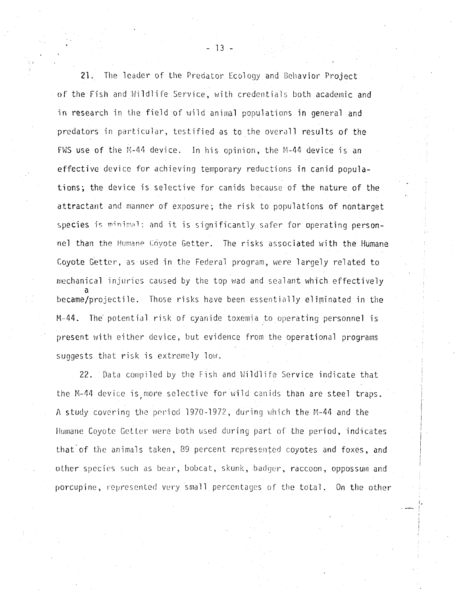21. The leader of the Predator Ecology and Behavior Project of the Fish and Wildlife Service, with credentials both academic and in research in the field of wild animal populations in general and predators in particular, testified as to the overall results of the FWS use of the M:44 device. In his opinion, the M-44 device is an effective device for achieving temporary reductions in canid populations; the device is selective for canids because of the nature of the attractant and manner of exposure; the risk to populations of nontarget species is minimal: and it is significantly safer for operating personnel than the Humane Coyote Getter. The risks associated with the Humane Coyote Getter, as used in the Federal program, were largely related to mechanical injuries caused by the top wad and sealant which effectively a became/projectile. Those risks have been essentially eliminated in the M-44. The' potential risk of cyanide toxemia to operating personnel is present with either device, but evidence from the operational programs suggests that risk is extremely low.

22. Data compiled by the Fish and Wildlife Service indicate that the M-44 device is more selective for wild canids than are steel traps. A study covering the period 1970-1972, during which the M-44 and the Humane Coyote Getter were both used during part of the period, indicates that-of the animals taken, 39 percent represented coyotes and foxes, and other species such as bear, bobcat, skunk, badger, raccoon, oppossum and porcupine, represented very small percentages of the total. On the other

- 13 -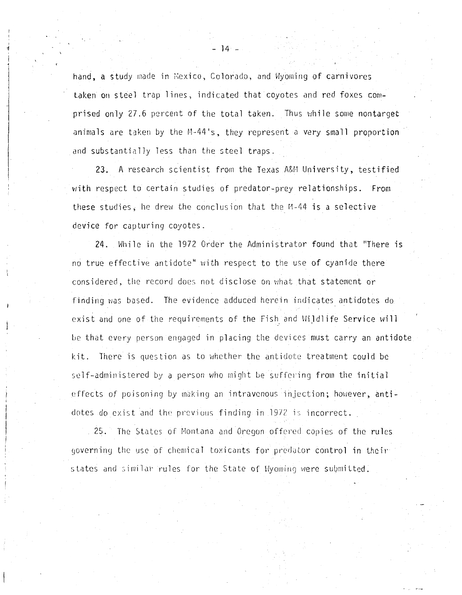hand, a study made in Mexico, Colorado, and Wyoming of carnivores taken on steel trap lines, indicated that coyotes and red foxes comprised only 27.6 percent of the total taken. Thus while some nontarget animals are taken by the M-44's, they represent a very small proportion and substantially less than the steel traps.

23. A research scientist from the Texas A&M University, testified with respect to certain studies of predator-prey relationships. From these studies, he drew the conclusion that the  $M-44$  is a selective device for capturing coyotes.

24. While in the 1972 Order the Administrator found that "There is no true effective antidote" with respect to the use of cyanide there considered, the record does not disclose on what that statement or finding was based. The evidence adduced herein indicates antidotes do exist and one of the requirements of the Fish and Wildlife Service will be that every person engaged in placing the devices must carry an antidote kit. There is question as to whether the antidote treatment could be self-administered by a person who might be suffering from the initial effects of poisoning by making an intravenous injection; however, antidotes do exist and the previous finding in 1972 is incorrect.

25. The States of Montana and Oregon offered copies of the rules governing the use of chemical toxicants for predator control in their states and similar rules for the State of Wyoming were submitted.

<sup>~</sup>- 14 -

I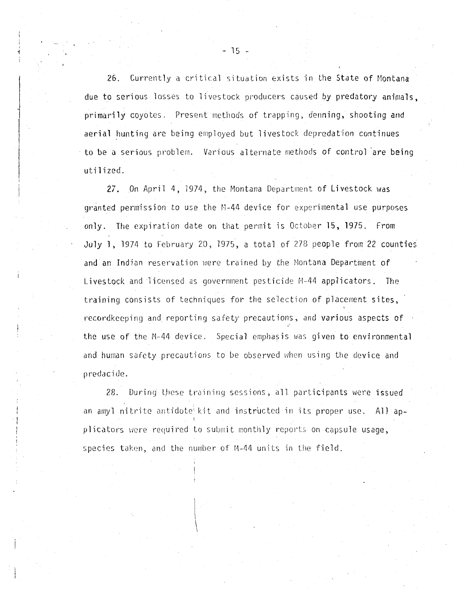26. Currently a critical situation exists in the State of Montana due to serious losses to livestock producers caused by predatory animals. primarily coyotes. Present methods of trapping, denning, shooting and aerial hunting are being employed but livestock depredation continues to be a serious problem. Vurious alternate methods of control 'are being utilized.

27. On April 4, 1974, the Montana Department of Livestock was granted permission to use the M-44 device for experimental use purposes only. The expiration date on that permit is October 15, 1975. From July 1, 1974 to February 20, 1975, a total of 278 people from 22 counties and an Indian reservation were trained by the Montana Department of Livestock and licensed as government pesticide M-44 applicators. The training consists of techniques for the selection of placement sites, recordkeeping and reporting safety precautions, and various aspects of the use of the M-44 device. Special emphasis was given to environmental and human safety precautions to be observed when using the device and predacide.

28. During these training sessions, all participants were issued an amyl nitrite antidote kit and instructed in its proper use. All applicators were required to submit monthly reports on capsule usage, species taken, and the number of M-44 units in the field.

**A**  $\mathbf{I}$ ł

 $-15 -$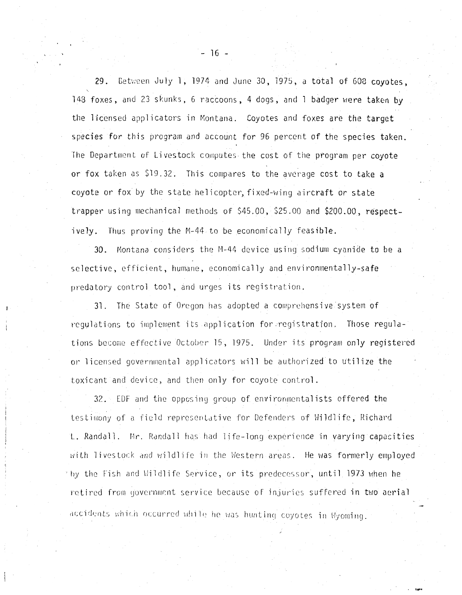29. Getween July 1, 1974 and June 30, 1975, a total of 608 covotes. 143 foxes, and 23 skunks, 6 raccoons, 4 dogs, and 1 badger were taken by the licensed applicators in Montana. Coyotes and foxes are the target species for this program and account for 96 percent of the species taken. The Department of Livestock computes the cost of the program per coyote or fox taken as \$19.32. This compares to the average cost to take a coyote or fox by the state helicopter, fixed-wing aircraft or state trapper using mechanical methods of  $$45.00, $25.00$  and  $$200.00,$  respectively. Thus proving the M-44 to be economically feasible.

30. Montana considers the M-44 device using sodium cyanide to be a selective, efficient, humane, economically and environmentally-safe predatory control tool, and urges its registration.

31. The State of Oregon has adopted a comprehensive system of requilations to implement its application for registration. Those regulations become effective October 15, 1975. Under its program only registered or licensed governmental applicators will be authorized to utilize the toxicant and device, and then only for coyote control.

32. EDF and the opposing group of environmentalists offered the testimony of a field representative for Defenders of Wildlife, Richard L. Randall. Mr. Randall has had life-long experience in varying capacities with livestock and wildlife in the Western areas. He was formerly employed  $^\circ$  by the Fish and Wildlife Service, or its predecessor, until 1973 when he retired from government service because of injuries suffered in two aerial accidents which occurred while he was hunting coyotes in Wyoming.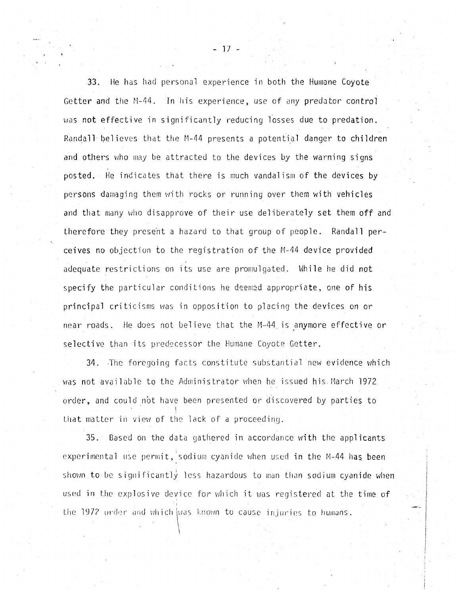33. He has had personal experience in both the Humane Coyote Getter and the M-44. In his experience, use of any predator control was not effective in significantly reducing losses due to predation. Randall believes that the M-44 presents a potential danger to children and others who may be attracted to the devices by the warning signs posted. He indicates that there is much vandalism of the devices by persons damaging them with rocks or running over them with vehicles and that many who disapprove of their use deliberately set them off and therefore they present a hazard to that group of people. Randall perceives no objection to the registration of the M-44 device provided adequate restrictions on its use are promulgated. While he did not specify the particular conditions he deemed appropriate, one of his principal criticisms was in opposition to placing the devices on or near roads. He does not believe that the M-44 is anymore effective or selective than its predecessor the Humane Coyote Getter.

34. The foregoing facts constitute substantial new evidence which was not available to the Administrator when he issued his March 1972. order, and could not have been presented or discovered by parties to I that matter in view of the lack of a proceeding.

35. Based on the data gathered in accordance with the applicants experimental use permit, sodium cyanide when used in the M-44 has been shown to be significantly less hazardous to man than sodium cyanide when used in the explosive device for which it was registered at the time of the 1972 order and which was known to cause injuries to humans.

- 1/ -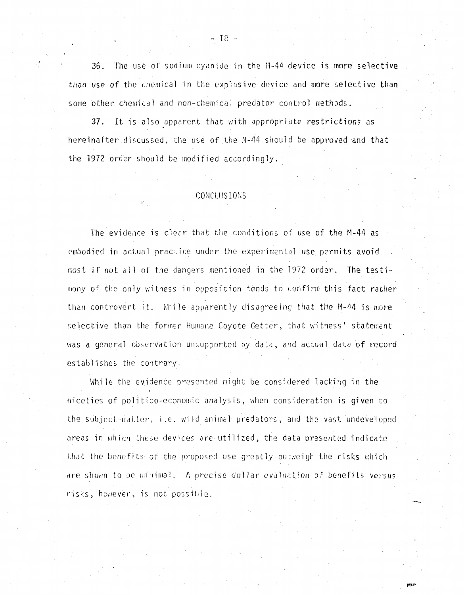36. The use of sodium cyanide in the M-44 device is more selective than use of the chemical in the explosive device and more selective than some other chemical and non-chemical predator control methods.

37. It is also apparent that with appropriate restrictions as hereinafter discussed, the use of the M-44 should be approved and that the 1972 order should be modified accordingly.

## CONCLUSIONS

The evidence is clear that the conditions of use of the M-44 as embodied in actual practice under the experimental use permits avoid most if not all of the dangers mentioned in the 1972 order. The testimony of the only witness in opposition tends to confirm this fact rather than controvert it. While apparently disagreeing that the M-44 is more selective than the former Humane Coyote Getter, that witness' statement was a general observation unsupported by data, and actual data of record establishes the contrary.

While the evidence presented might be considered lacking in the niceties of politico-economic analysis, when consideration is given to the subject-matter, i.e. wild animal predators, and the vast undeveloped areas in which these devices are utilized, the data presented indicate that the benefits of the proposed use greatly outweigh the risks which are shown to be minimal. A precise dollar evaluation of benefits versus risks, however, is not possible.

 $-18 -$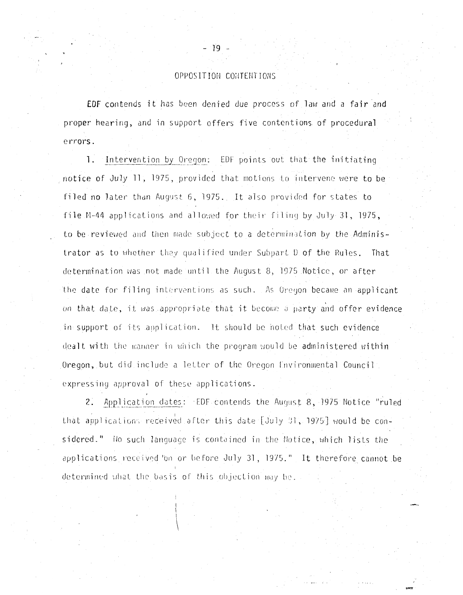# OPPOSITION CONTENTIONS

EDF contends it has been denied due process of law and a fair and proper hearing, and in support offers five contentions of procedural errors.

Intervention by Oregon: EDF points out that the initiating  $\overline{1}$ . notice of July 11, 1975, provided that motions to intervene were to be filed no later than August 6, 1975. It also provided for states to file M-44 applications and allowed for their filing by July 31, 1975, to be reviewed and then made subject to a determination by the Administrator as to whether they qualified under Subpart D of the Rules. That determination was not made until the August 8, 1975 Notice, or after the date for filing interventions as such. As Oregon became an applicant on that date, it was appropriate that it become a party and offer evidence in support of its application. It should be noted that such evidence dealt with the manner in which the program would be administered within Oregon, but did include a letter of the Oregon Environmental Council expressing approval of these applications.

2. Application dates: EDF contends the August 8, 1975 Notice "ruled that applications received after this date [July 31, 1975] would be considered." No such language is contained in the Notice, which lists the applications received on or before July 31, 1975." It therefore cannot be determined what the basis of this objection may be.

- 19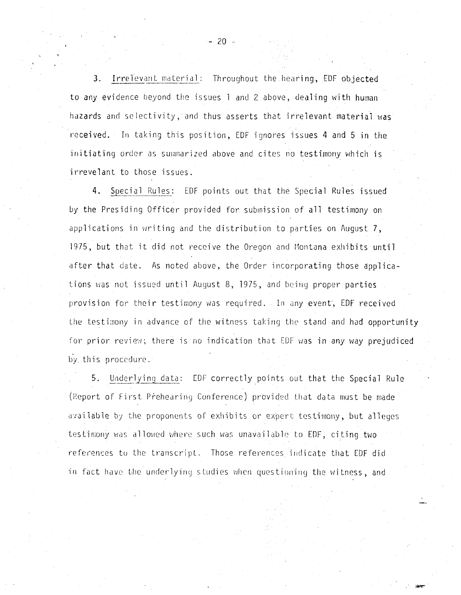3. Irrelevant material: Throughout the hearing, EDF objected to any evidence beyond the issues 1 and 2 above, dealing with human hazards and selectivity, and thus asserts that irrelevant material was received. In taking this position, EDF ignores issues 4 and 5 in the initiating order as summarized above and cites no testimony which is irrevelant to those issues.

4. Special Rules: EDF points out that the Special Rules issued by the Presiding Officer provided for submission of all testimony on applications in writing and the distribution to parties on August 7, 1975, but that it did not receive the Oregon and Montana exhibits until after that date. As noted above, the Order incorporating those applications was not issued until August 8, 1975, and being proper parties provision for their testimony was required. In any event, EDF received the testimony in advance of the witness taking the stand and had opportunity for prior review; there is no indication that EDF was in any way prejudiced by this procedure.

Underlying data: EDF correctly points out that the Special Rule  $5.$ (Report of First Prehearing Conference) provided that data must be made available by the proponents of exhibits or expert testimony, but alleges testimony was allowed where such was unavailable to EDF, citing two references to the transcript. Those references indicate that EDF did in fact have the underlying studies when questioning the witness, and

 $-20 -$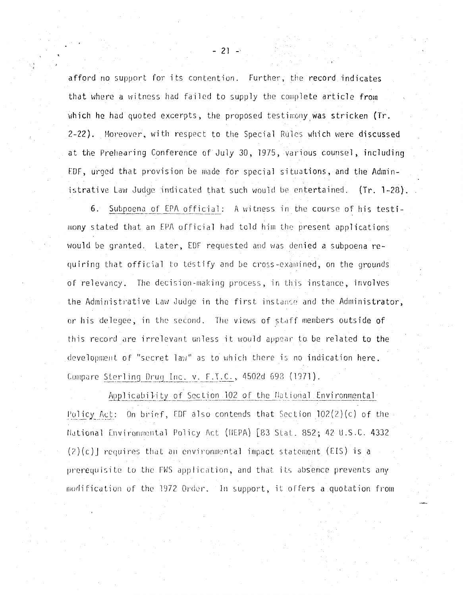afford no support for its contention. Further, the record indicates that where a witness had failed to supply the complete article from which he had quoted excerpts, the proposed testimony was stricken (Tr. 2-22). Moreover, with respect to the Special Rules which were discussed at the Prehearing Conference of July 30, 1975, various counsel, including EDF, urged that provision be made for special situations, and the Administrative Law Judge indicated that such would be entertained. (Tr. 1-28).

6. Subpoena of EPA official: A witness in the course of his testimony stated that an EPA official had told him the present applications would be granted. Later, EDF requested and was denied a subpoena requiring that official to testify and be cross-examined, on the grounds of relevancy. The decision-making process, in this instance, involves the Administrative Law Judge in the first instance and the Administrator, or his delegee, in the second. The views of staff members outside of this record are irrelevant unless it would appear to be related to the development of "secret law" as to which there is no indication here. Compare Sterling Drug Inc. v. F.T.C., 4502d 698 (1971).

Applicability of Section 102 of the National Environmental Policy Act: On brief, EDF also contends that Section  $102(2)(c)$  of the National Environmental Policy Act (HEPA) [83 Stat. 852; 42 U.S.C. 4332  $(2)(c)$ ] requires that an environmental impact statement (EIS) is a prerequisite to the FWS application, and that its absence prevents any modification of the 1972 Order. In support, it offers a quotation from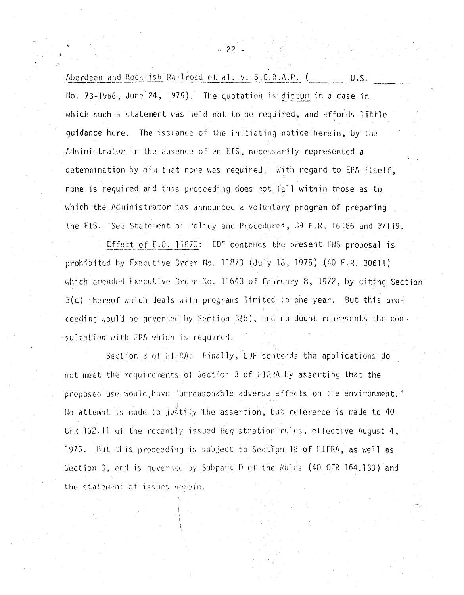Aberdeen and Rockfish Railroad et al. v. S.C.R.A.P. ( U.S. No. 73-1966, June 24, 1975). The quotation is dictum in a case in which such a statement was held not to be required, and affords little quidance here. The issuance of the initiating notice herein, by the Administrator in the absence of an EIS, necessarily represented a determination by him that none was required. With regard to EPA itself, none is required and this proceeding does not fall within those as to which the Administrator has announced a voluntary program of preparing the EIS. See Statement of Policy and Procedures, 39 F.R. 16186 and 37119.

Effect of E.O. 11870: EDF contends the present FWS proposal is prohibited by Executive Order No. 11870 (July 18, 1975) (40 F.R. 30611) which amended Executive Order No. 11643 of February 8, 1972, by citing Section 3(c) thereof which deals with programs limited to one year. But this proceeding would be governed by Section  $3(b)$ , and no doubt represents the consultation with EPA which is required.

Section 3 of FIFRA: Finally, EDF contends the applications do not meet the requirements of Section 3 of FIFRA by asserting that the proposed use would have "unreasonable adverse effects on the environment." Ho attempt is made to justify the assertion, but reference is made to 40 CFR 162.11 of the recently issued Registration rules, effective August 4, 1975. But this proceeding is subject to Section 18 of FIFRA, as well as Section 3, and is governed by Subpart D of the Rules (40 CFR 164.130) and the statement of issues herein.

 $-22-$